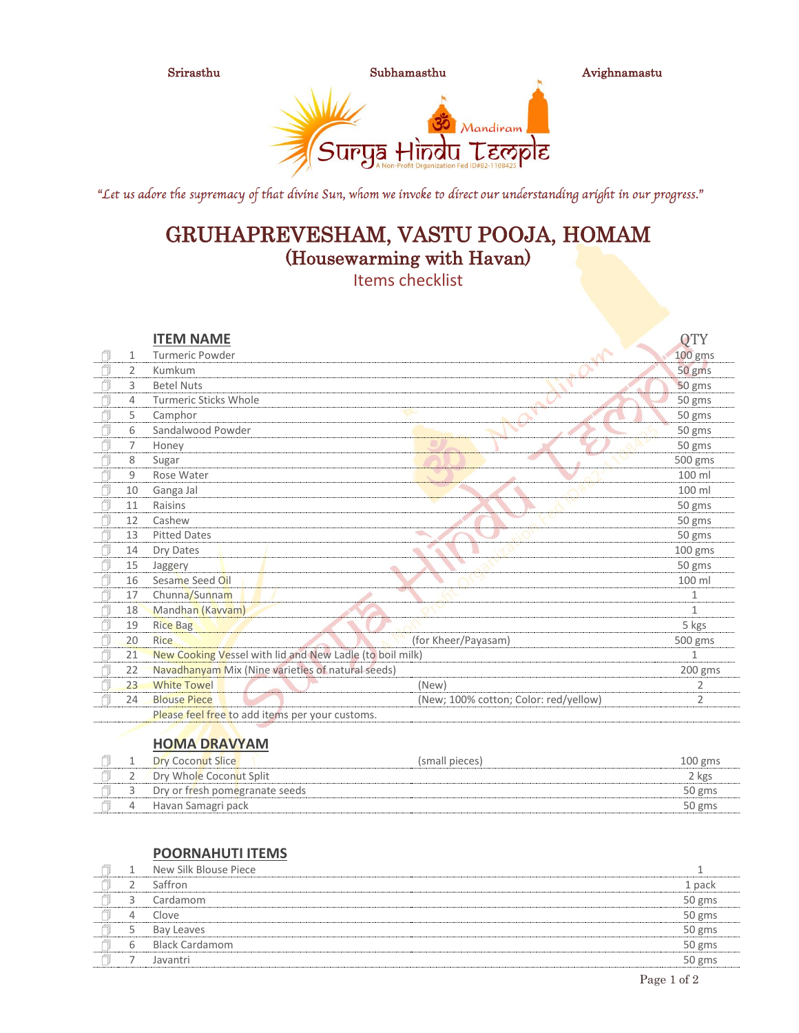

"Let us adore the supremacy of that divine Sun, whom we invoke to direct our understanding aright in our progress."

# GRUHAPREVESHAM, VASTU POOJA, HOMAM (Housewarming with Havan)

Items checklist

|      |              | <b>ITEM NAME</b>                                         |                                       | <b>QTY</b>   |
|------|--------------|----------------------------------------------------------|---------------------------------------|--------------|
|      | $\mathbf{1}$ | Turmeric Powder                                          |                                       | 100 gms      |
|      | 2            | Kumkum                                                   |                                       | 50 gms       |
|      | 3            | <b>Betel Nuts</b>                                        |                                       | 50 gms       |
| f    | 4            | <b>Turmeric Sticks Whole</b>                             |                                       | 50 gms       |
|      | 5            | Camphor                                                  |                                       | 50 gms       |
|      | 6            | Sandalwood Powder                                        |                                       | 50 gms       |
|      | 7            | Honey                                                    |                                       | 50 gms       |
|      | 8            | Sugar                                                    |                                       | 500 gms      |
|      | 9            | Rose Water                                               |                                       | 100 ml       |
|      | 10           | Ganga Jal                                                |                                       | 100 ml       |
| ī    | 11           | Raisins                                                  |                                       | 50 gms       |
|      | 12           | Cashew                                                   |                                       | 50 gms       |
| ı    | 13           | <b>Pitted Dates</b>                                      |                                       | 50 gms       |
|      | 14           | Dry Dates                                                |                                       | $100$ gms    |
| - IU | 15           | Jaggery                                                  |                                       | 50 gms       |
|      | 16           | Sesame Seed Oil                                          |                                       | 100 ml       |
|      | 17           | Chunna/Sunnam                                            |                                       | 1            |
|      | 18           | Mandhan (Kavvam)                                         |                                       | $\mathbf{1}$ |
| ſ    | 19           | <b>Rice Bag</b>                                          |                                       | 5 kgs        |
|      | 20           | <b>Rice</b>                                              | (for Kheer/Payasam)                   | 500 gms      |
| 7    | 21           | New Cooking Vessel with lid and New Ladle (to boil milk) |                                       | 1            |
| ſ    | 22           | Navadhanyam Mix (Nine varieties of natural seeds)        |                                       | 200 gms      |
| 1    | 23           | <b>White Towel</b>                                       | (New)                                 | 2            |
|      | 24           | <b>Blouse Piece</b>                                      | (New; 100% cotton; Color: red/yellow) | 2            |
|      |              | Please feel free to add items per your customs.          |                                       |              |
|      |              |                                                          |                                       |              |

### **HOMA DRAVYAM**

|  | <b>Dry Coconut Slice</b>       | (small pieces) | 100 gms |
|--|--------------------------------|----------------|---------|
|  | Dry Whole Coconut Split        |                | 2 kgs   |
|  | Dry or fresh pomegranate seeds |                | 50 gms  |
|  | Havan Samagri pack             |                | 50 gms  |
|  |                                |                |         |

### **POORNAHUTI ITEMS**

|   | New Silk Blouse Piece |        |
|---|-----------------------|--------|
|   | Saffron               | 1 pack |
|   | Cardamom              | 50 gms |
| 4 | Clove                 | 50 gms |
|   | Bay Leaves            | 50 gms |
| 6 | <b>Black Cardamom</b> | 50 gms |
|   | Javantri              | 50 gms |
|   |                       |        |